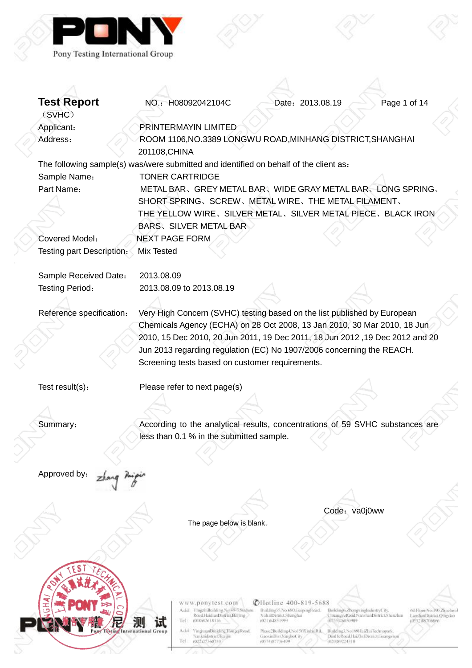

| <b>Test Report</b>        | NO.: H08092042104C                                                                    | Date: 2013.08.19                                          |                                                                            | Page 1 of 14                                       |
|---------------------------|---------------------------------------------------------------------------------------|-----------------------------------------------------------|----------------------------------------------------------------------------|----------------------------------------------------|
| (SVHC)                    |                                                                                       |                                                           |                                                                            |                                                    |
| Applicant:                | PRINTERMAYIN LIMITED                                                                  |                                                           |                                                                            |                                                    |
| Address:                  | ROOM 1106, NO.3389 LONGWU ROAD, MINHANG DISTRICT, SHANGHAI                            |                                                           |                                                                            |                                                    |
|                           | 201108, CHINA                                                                         |                                                           |                                                                            |                                                    |
|                           | The following sample(s) was/were submitted and identified on behalf of the client as: |                                                           |                                                                            |                                                    |
| Sample Name:              | <b>TONER CARTRIDGE</b>                                                                |                                                           |                                                                            |                                                    |
| Part Name:                | METAL BAR, GREY METAL BAR, WIDE GRAY METAL BAR, LONG SPRING,                          |                                                           |                                                                            |                                                    |
|                           | SHORT SPRING, SCREW, METAL WIRE, THE METAL FILAMENT,                                  |                                                           |                                                                            |                                                    |
|                           | THE YELLOW WIRE、SILVER METAL、SILVER METAL PIECE、BLACK IRON                            |                                                           |                                                                            |                                                    |
|                           | <b>BARS, SILVER METAL BAR</b>                                                         |                                                           |                                                                            |                                                    |
| Covered Model:            | <b>NEXT PAGE FORM</b>                                                                 |                                                           |                                                                            |                                                    |
| Testing part Description: | <b>Mix Tested</b>                                                                     |                                                           |                                                                            |                                                    |
|                           |                                                                                       |                                                           |                                                                            |                                                    |
| Sample Received Date:     | 2013.08.09                                                                            |                                                           |                                                                            |                                                    |
| Testing Period:           | 2013.08.09 to 2013.08.19                                                              |                                                           |                                                                            |                                                    |
|                           |                                                                                       |                                                           |                                                                            |                                                    |
| Reference specification:  | Very High Concern (SVHC) testing based on the list published by European              |                                                           |                                                                            |                                                    |
|                           | Chemicals Agency (ECHA) on 28 Oct 2008, 13 Jan 2010, 30 Mar 2010, 18 Jun              |                                                           |                                                                            |                                                    |
|                           | 2010, 15 Dec 2010, 20 Jun 2011, 19 Dec 2011, 18 Jun 2012, 19 Dec 2012 and 20          |                                                           |                                                                            |                                                    |
|                           | Jun 2013 regarding regulation (EC) No 1907/2006 concerning the REACH.                 |                                                           |                                                                            |                                                    |
|                           | Screening tests based on customer requirements.                                       |                                                           |                                                                            |                                                    |
|                           |                                                                                       |                                                           |                                                                            |                                                    |
| Test result(s):           | Please refer to next page(s)                                                          |                                                           |                                                                            |                                                    |
|                           |                                                                                       |                                                           |                                                                            |                                                    |
|                           |                                                                                       |                                                           |                                                                            |                                                    |
| Summary:                  | According to the analytical results, concentrations of 59 SVHC substances are         |                                                           |                                                                            |                                                    |
|                           | less than 0.1 % in the submitted sample.                                              |                                                           |                                                                            |                                                    |
|                           |                                                                                       |                                                           |                                                                            |                                                    |
|                           |                                                                                       |                                                           |                                                                            |                                                    |
| Approved by:              |                                                                                       |                                                           |                                                                            |                                                    |
|                           |                                                                                       |                                                           |                                                                            |                                                    |
|                           |                                                                                       |                                                           |                                                                            |                                                    |
|                           |                                                                                       |                                                           | Code: va0j0ww                                                              |                                                    |
|                           | The page below is blank.                                                              |                                                           |                                                                            |                                                    |
|                           |                                                                                       |                                                           |                                                                            |                                                    |
|                           |                                                                                       |                                                           |                                                                            |                                                    |
|                           |                                                                                       |                                                           |                                                                            |                                                    |
|                           |                                                                                       |                                                           |                                                                            |                                                    |
|                           |                                                                                       |                                                           |                                                                            |                                                    |
|                           |                                                                                       |                                                           |                                                                            |                                                    |
|                           | www.ponytest.com                                                                      | CHotline 400-819-5688                                     |                                                                            |                                                    |
|                           | Add: YmgzhiBoskling No.49-3596/nou<br>Rood HaidianDistrict Belling                    | Building 55 No.680 GuipengRoad.<br>Xulta@istrict.Shanghai | Building6.ZhongxingIndustryCity,<br>ChuangyeRoud/NanshanDistrict/Sherizhen | 601 loopNo: PR.Zhuzhirul<br>LaushanDistrict/Omgdao |
|                           | Tel:<br>1010/82618116<br>International Group<br>Add: YinghuanBinkling,HongqiRoad,     | (021)(4851999)<br>Phase Hundring4, No150XinhinRd.         | (0355)26050909<br>Building3, No 1891 IuiZhu Technopark,                    | LOS 3.2 JRK71Hill/cfn                              |
|                           | Nanknidistrict. Turque<br> c <br>(022)27360730                                        | GaoxinDist,NingboCity<br>(0574)87736499                   | DinHeRoadHaZh(DistrictUningzhou<br>(020)89224310                           |                                                    |

Ş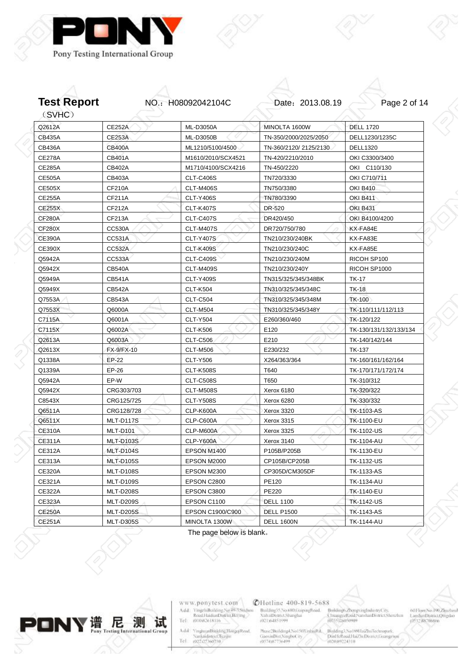



| Q2612A        | <b>CE252A</b>    | ML-D3050A          | MINOLTA 1600W         | <b>DELL 1720</b>       |
|---------------|------------------|--------------------|-----------------------|------------------------|
| <b>CB435A</b> | <b>CE253A</b>    | <b>ML-D3050B</b>   | TN-350/2000/2025/2050 | DELL1230/1235C         |
| <b>CB436A</b> | <b>CB400A</b>    | ML1210/5100/4500   | TN-360/2120/2125/2130 | <b>DELL1320</b>        |
| <b>CE278A</b> | <b>CB401A</b>    | M1610/2010/SCX4521 | TN-420/2210/2010      | OKI C3300/3400         |
| <b>CE285A</b> | CB402A           | M1710/4100/SCX4216 | TN-450/2220           | OKI C110/130           |
| <b>CE505A</b> | CB403A           | <b>CLT-C406S</b>   | TN720/3330            | OKI C710/711           |
| <b>CE505X</b> | CF210A           | CLT-M406S          | TN750/3380            | <b>OKI B410</b>        |
| <b>CE255A</b> | CF211A           | <b>CLT-Y406S</b>   | TN780/3390            | <b>OKI B411</b>        |
| <b>CE255X</b> | CF212A           | <b>CLT-K407S</b>   | DR-520                | <b>OKI B431</b>        |
| <b>CF280A</b> | CF213A           | <b>CLT-C407S</b>   | DR420/450             | OKI B4100/4200         |
| <b>CF280X</b> | <b>CC530A</b>    | <b>CLT-M407S</b>   | DR720/750/780         | KX-FA84E               |
| <b>CE390A</b> | CC531A           | <b>CLT-Y407S</b>   | TN210/230/240BK       | KX-FA83E               |
| <b>CE390X</b> | <b>CC532A</b>    | <b>CLT-K409S</b>   | TN210/230/240C        | KX-FA85E               |
| Q5942A        | <b>CC533A</b>    | <b>CLT-C409S</b>   | TN210/230/240M        | RICOH SP100            |
| Q5942X        | CB540A           | <b>CLT-M409S</b>   | TN210/230/240Y        | RICOH SP1000           |
| Q5949A        | <b>CB541A</b>    | <b>CLT-Y409S</b>   | TN315/325/345/348BK   | <b>TK-17</b>           |
| Q5949X        | <b>CB542A</b>    | <b>CLT-K504</b>    | TN310/325/345/348C    | <b>TK-18</b>           |
| Q7553A        | CB543A           | <b>CLT-C504</b>    | TN310/325/345/348M    | <b>TK-100</b>          |
| Q7553X        | Q6000A           | <b>CLT-M504</b>    | TN310/325/345/348Y    | TK-110/111/112/113     |
| C7115A        | Q6001A           | <b>CLT-Y504</b>    | E260/360/460          | TK-120/122             |
| C7115X        | Q6002A           | <b>CLT-K506</b>    | E120                  | TK-130/131/132/133/134 |
| Q2613A        | Q6003A           | <b>CLT-C506</b>    | E210                  | TK-140/142/144         |
| Q2613X        | FX-9/FX-10       | <b>CLT-M506</b>    | E230/232              | <b>TK-137</b>          |
| Q1338A        | EP-22            | <b>CLT-Y506</b>    | X264/363/364          | TK-160/161/162/164     |
| Q1339A        | $EP-26$          | <b>CLT-K508S</b>   | T640                  | TK-170/171/172/174     |
| Q5942A        | EP-W             | <b>CLT-C508S</b>   | T650                  | TK-310/312             |
| Q5942X        | CRG303/703       | <b>CLT-M508S</b>   | Xerox 6180            | TK-320/322             |
| C8543X        | CRG125/725       | <b>CLT-Y508S</b>   | Xerox 6280            | TK-330/332             |
| Q6511A        | CRG128/728       | <b>CLP-K600A</b>   | Xerox 3320            | <b>TK-1103-AS</b>      |
| Q6511X        | MLT-D117S        | CLP-C600A          | Xerox 3315            | TK-1100-EU             |
| <b>CE310A</b> | <b>MLT-D101</b>  | CLP-M600A          | Xerox 3325            | <b>TK-1102-US</b>      |
| <b>CE311A</b> | MLT-D103S        | <b>CLP-Y600A</b>   | Xerox 3140            | TK-1104-AU             |
| <b>CE312A</b> | MLT-D104S        | EPSON M1400        | P105B/P205B           | TK-1130-EU             |
| CE313A        | <b>MLT-D105S</b> | EPSON M2000        | CP105B/CP205B         | TK-1132-US             |
| <b>CE320A</b> | MLT-D108S        | EPSON M2300        | CP305D/CM305DF        | <b>TK-1133-AS</b>      |
| CE321A        | MLT-D109S        | EPSON C2800        | PE120                 | TK-1134-AU             |
| <b>CE322A</b> | MLT-D208S        | EPSON C3800        | PE220                 | TK-1140-EU             |
| CE323A        | MLT-D209S        | EPSON C1100        | <b>DELL 1100</b>      | <b>TK-1142-US</b>      |
| <b>CE250A</b> | <b>MLT-D205S</b> | EPSON C1900/C900   | <b>DELL P1500</b>     | <b>TK-1143-AS</b>      |
| <b>CE251A</b> | <b>MLT-D305S</b> | MINOLTA 1300W      | <b>DELL 1600N</b>     | <b>TK-1144-AU</b>      |

The page below is blank。



 $\begin{matrix} 1 \ 2 \end{matrix}$ 

www.ponytest.com  $\begin{tabular}{l|c} Add:~YingphBokling Na 49-78004000\\ \hline \textbf{Rood} HamiltonDiffint, Berlin & \\ Tel: & 010082618116 \\ \end{tabular}$ 

Add: YinghuanBhilding,HongqiRood<br>| Nanknidistrici Tuzijin<br>|Tel | 002127360730

**@Hotline 400-819-5688** 

Building35.No.680.GrapingBoad.<br>XultaiDismict.Shanghai<br>(021)64851599

 $\substack{\text{Mass:2Buiding 4.No150X inbinf}\\\text{GaoxinDist:Ningfootity}{\text{G0574367736499}}}$ Building3, No 1801 IniZhuTechnopark,<br>DinHellond,HaiZhiDismct.Georgen<br>(020:89224310

Brildings ZhongxingIndustryCity,<br>CluangyeRond NarshanDistrict Shenzhin<br>(0355)26050909

 $001\,\mathrm{box}$ No.<br>190, Zimeland Laushan<br/>District Qungdao (1932, 887)<br>1986<br/>a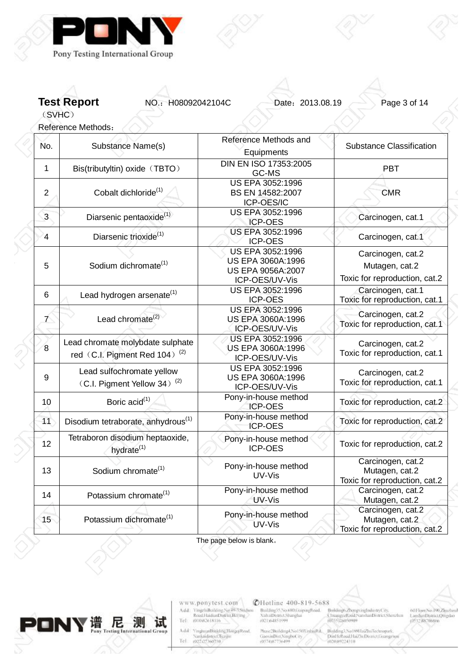

**Test Report NO.: H08092042104C** Date: 2013.08.19 Page 3 of 14

(SVHC)

Reference Methods:

| No.                | Substance Name(s)                                                             | Reference Methods and<br>Equipments                                          | <b>Substance Classification</b>                                      |
|--------------------|-------------------------------------------------------------------------------|------------------------------------------------------------------------------|----------------------------------------------------------------------|
| 1                  | Bis(tributyltin) oxide (TBTO)                                                 | <b>DIN EN ISO 17353:2005</b><br>GC-MS                                        | <b>PBT</b>                                                           |
| $\overline{2}$     | Cobalt dichloride <sup>(1)</sup>                                              | US EPA 3052:1996<br>BS EN 14582:2007<br>ICP-OES/IC                           | <b>CMR</b>                                                           |
| $\overline{3}$     | Diarsenic pentaoxide <sup>(1)</sup>                                           | US EPA 3052:1996<br><b>ICP-OES</b>                                           | Carcinogen, cat.1                                                    |
| $\overline{4}$     | Diarsenic trioxide <sup>(1)</sup>                                             | US EPA 3052:1996<br><b>ICP-OES</b>                                           | Carcinogen, cat.1                                                    |
| 5                  | Sodium dichromate <sup>(1)</sup>                                              | US EPA 3052:1996<br>US EPA 3060A:1996<br>US EPA 9056A:2007<br>ICP-OES/UV-Vis | Carcinogen, cat.2<br>Mutagen, cat.2<br>Toxic for reproduction, cat.2 |
| 6                  | Lead hydrogen arsenate <sup>(1)</sup>                                         | US EPA 3052:1996<br>ICP-OES                                                  | Carcinogen, cat.1<br>Toxic for reproduction, cat.1                   |
| $\mathbf{7}^\circ$ | Lead chromate <sup>(2)</sup>                                                  | US EPA 3052:1996<br>US EPA 3060A:1996<br>ICP-OES/UV-Vis                      | Carcinogen, cat.2<br>Toxic for reproduction, cat.1                   |
| 8                  | Lead chromate molybdate sulphate<br>red (C.I. Pigment Red 104) <sup>(2)</sup> | US EPA 3052:1996<br>US EPA 3060A:1996<br>ICP-OES/UV-Vis                      | Carcinogen, cat.2<br>Toxic for reproduction, cat.1                   |
| 9                  | Lead sulfochromate yellow<br>(C.I. Pigment Yellow 34) <sup>(2)</sup>          | US EPA 3052:1996<br>US EPA 3060A:1996<br>ICP-OES/UV-Vis                      | Carcinogen, cat.2<br>Toxic for reproduction, cat.1                   |
| 10                 | Boric acid <sup>(1)</sup>                                                     | Pony-in-house method<br><b>ICP-OES</b>                                       | Toxic for reproduction, cat.2                                        |
| 11                 | Disodium tetraborate, anhydrous <sup>(1)</sup>                                | Pony-in-house method<br><b>ICP-OES</b>                                       | Toxic for reproduction, cat.2                                        |
| 12                 | Tetraboron disodium heptaoxide,<br>hydrate <sup>(1)</sup>                     | Pony-in-house method<br><b>ICP-OES</b>                                       | Toxic for reproduction, cat.2                                        |
| 13                 | Sodium chromate <sup>(1)</sup>                                                | Pony-in-house method<br>UV-Vis                                               | Carcinogen, cat.2<br>Mutagen, cat.2<br>Toxic for reproduction, cat.2 |
| 14                 | Potassium chromate <sup>(1)</sup>                                             | Pony-in-house method<br>UV-Vis                                               | Carcinogen, cat.2<br>Mutagen, cat.2                                  |
| 15                 | Potassium dichromate <sup>(1)</sup>                                           | Pony-in-house method<br>UV-Vis                                               | Carcinogen, cat.2<br>Mutagen, cat.2<br>Toxic for reproduction, cat.2 |



www.ponytest.com  $\begin{tabular}{l|c} Add:~YingphBochling Na 49-7896/900\\ \hline \textbf{Rood} HaidimDistriu, Beting, \\ Tel: & 010082618116 \\ \end{tabular}$ 

Add: YinghuanBhilding,HongqiRood<br>| Nanknidistrici Tuzijin<br>|Tel | 002127360730

**@Hotline 400-819-5688** 

Building35.No.680.GrapingBoad.<br>XultaiDismict.Shanghai<br>(021)64851599

 $\begin{tabular}{l|c|c|c} {\tt Max2Boidingl,No150Xinphifid, & \tt Buildingl,No180HnZlu/Technopark, Gieexinfbi1,Ningfoc1it/ & \tt Dini160AudHnZlu/EuflimDisnc1Gusngzu} \\ \hline \end{tabular}$ 

Brildings ZhongxingIndustryCity,<br>CluangyeRond NarshanDistrict Shenzhin<br>(0355)26050909

 $001\,\mathrm{bow}$ No.<br>190<br/>,Zimchuul Laushan<br>Districti<br/>Ompilao $105\,32\,388\,700\,886$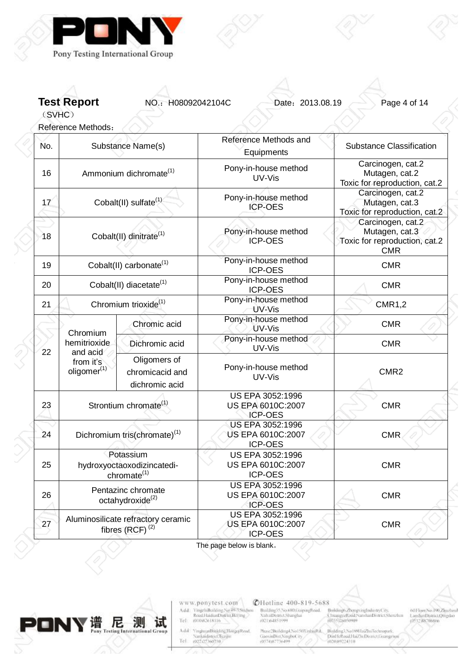

**Test Report NO.: H08092042104C** Date: 2013.08.19 Page 4 of 14

(SVHC)

Reference Methods: No. Substance Name(s) Reference Methods and **Equipments** Substance Classification 16 Ammonium dichromate<sup>(1)</sup> Pony-in-house method UV-Vis Carcinogen, cat.2 Mutagen, cat.2 Toxic for reproduction, cat.2 17 Cobalt(II) sulfate<sup>(1)</sup> Pony-in-house method ICP-OES Carcinogen, cat.2 Mutagen, cat.3 Toxic for reproduction, cat.2 18 Cobalt(II) dinitrate<sup>(1)</sup> Pony-in-house method ICP-OES Carcinogen, cat.2 Mutagen, cat.3 Toxic for reproduction, cat.2 CMR 19 Cobalt(II) carbonate<sup>(1)</sup> Pony-in-house method ICP-OES CMR 20 Cobalt(II) diacetate<sup>(1)</sup> Pony-in-house method ICP-OES CMR 21 Chromium trioxide<sup>(1)</sup> Pony-in-house method UV-Vis CMR1,2 Chromic acid Pony-in-house method UV-Vis CMR Dichromic acid Pony-in-house method UV-Vis CMR 22 Chromium hemitrioxide and acid from it's  $oligomer<sup>(1)</sup>$ Oligomers of chromicacid and dichromic acid Pony-in-house method UV-Vis CMR2 23 Strontium chromate $^{(1)}$ US EPA 3052:1996 US EPA 6010C:2007 ICP-OES CMR 24 Dichromium tris(chromate) $(1)$ US EPA 3052:1996 US EPA 6010C:2007 ICP-OES CMR 25 Potassium hydroxyoctaoxodizincatedichromate(1) US EPA 3052:1996 US EPA 6010C:2007 ICP-OES CMR  $26$  Pentazinc chromate octahydroxide<sup>(2)</sup> US EPA 3052:1996 US EPA 6010C:2007 ICP-OES CMR 27 Aluminosilicate refractory ceramic fibres  $(RCF)^{(2)}$ US EPA 3052:1996 US EPA 6010C:2007 ICP-OES CMR

The page below is blank。



www.ponytest.com YingzhiBoilding No.49-750idtou Add: Tel: (010)82618116

Add **YinghuanBinkling**, Hongqi Road, Nanknidistrict.Turgu Tel

**CHotline 400-819-5688** Building35.No.680.GuipingRoad. **XuhaiDivariet.Shanghai** (021)(4851999

Phase2Building4, No150XinhiuRd. Building3, No 189HaiZhuTecht GaoxinDist, NingboCity DinHelboulHaiZhiDismcUinng<br>(02039224310)

Broldings.Zhongs.ingInc ChuangyeRaid NanshanDistrict Sherahar<br>(0755)26050909 (IS32.88706866

60 Floor No. 190, Zhuzhoul LanshanDistrict/Officebo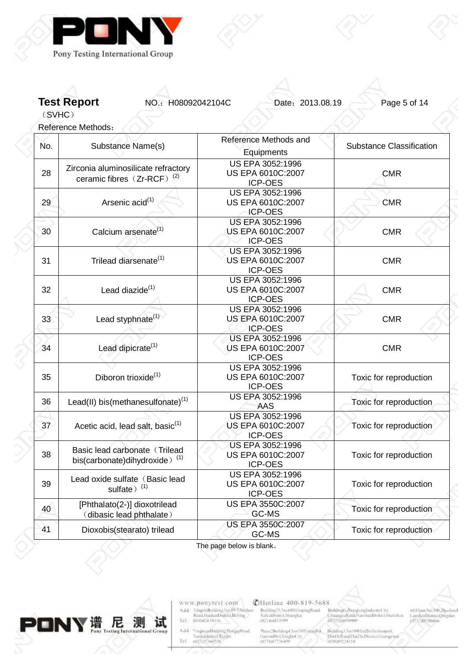

**Test Report NO.: H08092042104C** Date: 2013.08.19 Page 5 of 14

(SVHC)

Reference Methods:

| No. | Substance Name(s)                                                          | Reference Methods and<br>Equipments                            | <b>Substance Classification</b> |
|-----|----------------------------------------------------------------------------|----------------------------------------------------------------|---------------------------------|
| 28  | Zirconia aluminosilicate refractory<br>ceramic fibres $(Zr-RCF)^{(2)}$     | <b>US EPA 3052:1996</b><br>US EPA 6010C:2007<br><b>ICP-OES</b> | <b>CMR</b>                      |
| 29  | Arsenic acid <sup>(1)</sup>                                                | US EPA 3052:1996<br>US EPA 6010C:2007<br><b>ICP-OES</b>        | <b>CMR</b>                      |
| 30  | Calcium arsenate <sup>(1)</sup>                                            | US EPA 3052:1996<br>US EPA 6010C:2007<br><b>ICP-OES</b>        | <b>CMR</b>                      |
| 31  | Trilead diarsenate <sup>(1)</sup>                                          | <b>US EPA 3052:1996</b><br>US EPA 6010C:2007<br><b>ICP-OES</b> | <b>CMR</b>                      |
| 32  | Lead diazide <sup>(1)</sup>                                                | <b>US EPA 3052:1996</b><br>US EPA 6010C:2007<br><b>ICP-OES</b> | <b>CMR</b>                      |
| 33  | Lead styphnate <sup>(1)</sup>                                              | US EPA 3052:1996<br>US EPA 6010C:2007<br><b>ICP-OES</b>        | <b>CMR</b>                      |
| 34  | Lead dipicrate <sup>(1)</sup>                                              | <b>US EPA 3052:1996</b><br>US EPA 6010C:2007<br><b>ICP-OES</b> | <b>CMR</b>                      |
| 35  | Diboron trioxide <sup>(1)</sup>                                            | US EPA 3052:1996<br>US EPA 6010C:2007<br>ICP-OES               | Toxic for reproduction          |
| 36  | Lead(II) bis(methanesulfonate) $(1)$                                       | US EPA 3052:1996<br>AAS                                        | Toxic for reproduction          |
| 37  | Acetic acid, lead salt, basic <sup>(1)</sup>                               | US EPA 3052:1996<br>US EPA 6010C:2007<br>ICP-OES               | Toxic for reproduction          |
| 38  | Basic lead carbonate (Trilead<br>bis(carbonate)dihydroxide) <sup>(1)</sup> | <b>US EPA 3052:1996</b><br>US EPA 6010C:2007<br><b>ICP-OES</b> | Toxic for reproduction          |
| 39  | Lead oxide sulfate (Basic lead<br>sulfate) <sup>(1)</sup>                  | <b>US EPA 3052:1996</b><br>US EPA 6010C:2007<br>ICP-OES        | Toxic for reproduction          |
| 40  | [Phthalato(2-)] dioxotrilead<br>(dibasic lead phthalate)                   | US EPA 3550C:2007<br>GC-MS                                     | Toxic for reproduction          |
| 41  | Dioxobis(stearato) trilead                                                 | US EPA 3550C:2007<br>GC-MS                                     | Toxic for reproduction          |

The page below is blank。



www.ponytest.com  $\begin{tabular}{l|c} Add:~YingphBokbing Na 49-78004000\\ \hline \textbf{Rood} HaidimDistriu, Beting, \\ Tel: & 010082618116 \\ \end{tabular}$ 

Add: YinghuanBhilding,HongqiRood<br>| Nanknidistrici Tuzijin<br>|Tel | 002127360730

**@Hotline 400-819-5688** Building35.No.680.GrapingBoad.<br>XultaiDismict.Shanghai<br>(021)64851599

 $\begin{tabular}{l|c|c|c} {\tt Max2-BolidingA, No150XinkingBd}, & {\tt Balling1, No180HzZlu/Tectmapsak}, \\ {\tt GiaexinDist/NingfocCity}, & {\tt PiniFelkcoilHaZlu/DeBsmctJoswazz} \\ (0574387736499 & (020389224310) \\ \end{tabular}$ 

Brildings ZhongxingIndustryCity,<br>CluangyeRond NarshanDistrict Shenzhin<br>(0355)26050909

001Floor,No.190,Zjuzhoul<br>LaoshanDistrict,Quigdao<br>(0532,88706866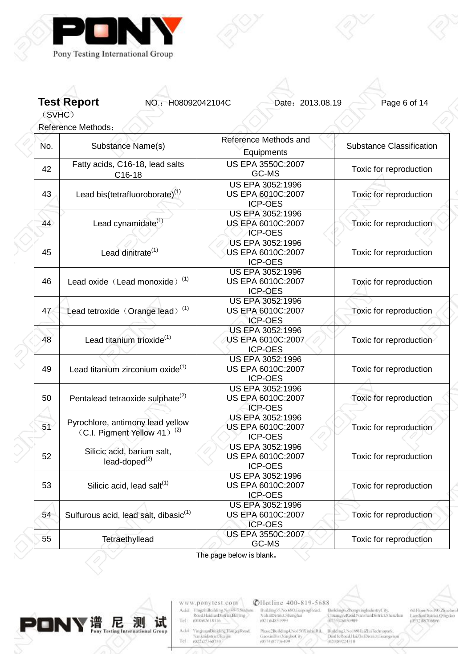

**Test Report NO.: H08092042104C** Date: 2013.08.19 Page 6 of 14

(SVHC)

Reference Methods:

| No. | Substance Name(s)                                                           | Reference Methods and<br>Equipments                            | <b>Substance Classification</b> |
|-----|-----------------------------------------------------------------------------|----------------------------------------------------------------|---------------------------------|
| 42  | Fatty acids, C16-18, lead salts<br>C16-18                                   | US EPA 3550C:2007<br>GC-MS                                     | Toxic for reproduction          |
| 43  | Lead bis(tetrafluoroborate) <sup>(1)</sup>                                  | <b>US EPA 3052:1996</b><br>US EPA 6010C:2007<br>ICP-OES        | Toxic for reproduction          |
| 44  | Lead cynamidate <sup>(1)</sup>                                              | <b>US EPA 3052:1996</b><br>US EPA 6010C:2007<br><b>ICP-OES</b> | Toxic for reproduction          |
| 45  | Lead dinitrate <sup>(1)</sup>                                               | <b>US EPA 3052:1996</b><br>US EPA 6010C:2007<br><b>ICP-OES</b> | Toxic for reproduction          |
| 46  | Lead oxide (Lead monoxide) <sup>(1)</sup>                                   | US EPA 3052:1996<br>US EPA 6010C:2007<br><b>ICP-OES</b>        | Toxic for reproduction          |
| 47  | Lead tetroxide (Orange lead) <sup>(1)</sup>                                 | US EPA 3052:1996<br>US EPA 6010C:2007<br><b>ICP-OES</b>        | Toxic for reproduction          |
| 48  | Lead titanium trioxide <sup>(1)</sup>                                       | US EPA 3052:1996<br>US EPA 6010C:2007<br><b>ICP-OES</b>        | Toxic for reproduction          |
| 49  | Lead titanium zirconium oxide <sup>(1)</sup>                                | <b>US EPA 3052:1996</b><br>US EPA 6010C:2007<br>ICP-OES        | Toxic for reproduction          |
| 50  | Pentalead tetraoxide sulphate <sup>(2)</sup>                                | US EPA 3052:1996<br>US EPA 6010C:2007<br><b>ICP-OES</b>        | Toxic for reproduction          |
| 51  | Pyrochlore, antimony lead yellow<br>(C.I. Pigment Yellow 41) <sup>(2)</sup> | US EPA 3052:1996<br>US EPA 6010C:2007<br><b>ICP-OES</b>        | Toxic for reproduction          |
| 52  | Silicic acid, barium salt,<br>lead-doped <sup>(2)</sup>                     | US EPA 3052:1996<br>US EPA 6010C:2007<br><b>ICP-OES</b>        | Toxic for reproduction          |
| 53  | Silicic acid, lead salt <sup>(1)</sup>                                      | <b>US EPA 3052:1996</b><br>US EPA 6010C:2007<br><b>ICP-OES</b> | Toxic for reproduction          |
| 54  | Sulfurous acid, lead salt, dibasic <sup>(1)</sup>                           | US EPA 3052:1996<br>US EPA 6010C:2007<br><b>ICP-OES</b>        | Toxic for reproduction          |
| 55  | Tetraethyllead                                                              | US EPA 3550C:2007<br>GC-MS                                     | Toxic for reproduction          |

The page below is blank。



www.ponytest.com  $\begin{tabular}{l|c} Add:~YingphBokling Na 49-78004000\\ \hline \textbf{Rood} HamiltonDiffint, Berlin & \\ Tel: & 010082618116 \\ \end{tabular}$ 

VinghuanBinkling,HongqiRood,<br>Nanknidistrict,Tuzijin<br>(022-227360730) Add<sup>2</sup> Tel

**@Hotline 400-819-5688** Building55.No.680.GrapingBoad.<br>XuhaiDismict.Shanghai<br>(021)64851999

 $\begin{array}{l} {\tiny \textsf{Mass-2Buiding4,No150XiphuRd.}}\\ {\tiny \textsf{GiaoximDis1,NingboC11}}\\ 0574387736499 \end{array}$ 

Broldings ZhongxingIndustryCity,<br>ChuangyeRoud NarshanDistrict Shenzhin<br>(0355)26050909 Building3, No 1801 IniZhuTechnopark,<br>DinHellond,HaiZhiDismct.Georgen<br>(020:89224310

 $001\,\mathrm{bow}$ No.<br>190<br/>,Zimchuul Laushan<br>Districti<br/>Ompilao $105\,32\,388\,700\,886$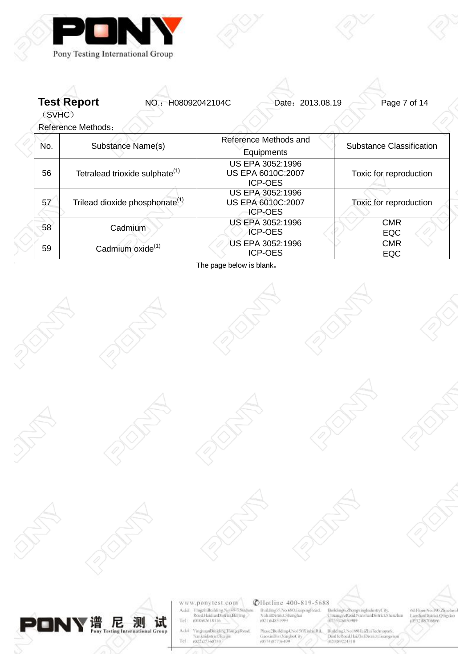

**Test Report NO.: H08092042104C** Date: 2013.08.19 Page 7 of 14

(SVHC)

Reference Methods:

| No. | Substance Name(s)                                                                                     | Reference Methods and<br>Equipments                     | Substance Classification |
|-----|-------------------------------------------------------------------------------------------------------|---------------------------------------------------------|--------------------------|
| 56  | US EPA 3052:1996<br>Tetralead trioxide sulphate <sup>(1)</sup><br>US EPA 6010C:2007<br><b>ICP-OES</b> |                                                         | Toxic for reproduction   |
| 57  | Trilead dioxide phosphonate <sup>(1)</sup>                                                            | US EPA 3052:1996<br>US EPA 6010C:2007<br><b>ICP-OES</b> | Toxic for reproduction   |
| 58  | Cadmium                                                                                               | US EPA 3052:1996<br><b>ICP-OES</b>                      | <b>CMR</b><br><b>EQC</b> |
| 59  | Cadmium oxide <sup>(1)</sup>                                                                          | US EPA 3052:1996<br><b>ICP-OES</b>                      | <b>CMR</b><br><b>EQC</b> |

The page below is blank。















www.ponytest.com  $\begin{array}{l} \begin{array}{l} \text{VingelnBochting Na 49-7.80} \text{d} \text{no} \\ \text{Road-HaidianDistrius Bcling} \end{array} \\ \begin{array}{l} 0.010402618116 \end{array} \end{array}$ Add: Tel:

VinghuanBinkling,HongqiRood,<br>Nankaidistrict,Hargun<br>(022.127.1607.10) Add Tel

## **CHotline 400-819-5688**

Building SS No.680 Guiping Road<br>NultaiDismict Shanghai<br>(021)64851599

 $\begin{minipage}{.4\linewidth} \begin{minipage}{.4\linewidth} \textbf{Nol50X} \textit{mbinRd} \textit{a.} \textbf{G} \textit{O} \textbf{X} \textit{mbinRd} \textit{a.} \textit{O} \textit{S} \textit{O} \textit{S} \textit{mRd} \textit{m} \textit{O} \textit{A} \textit{m} \textit{O} \textit{S} \textit{O} \textit{S} \textit{O} \textit{S} \textit{O} \textit{S} \textit{O} \textit{S} \textit{O} \textit{S} \textit{O} \text$ السلطانية No180HaiZhuTechnopash<br>DimHeRoad.HaiZhuDismet.Grang<br>020/89224310

Broldings Zhongxingh treCity ChrangveRoud/NarshanDistrict/She

601 Toor, No. 190, Zigazhoul LanshanDistrict/Othedan **ISS? AN TRANSA**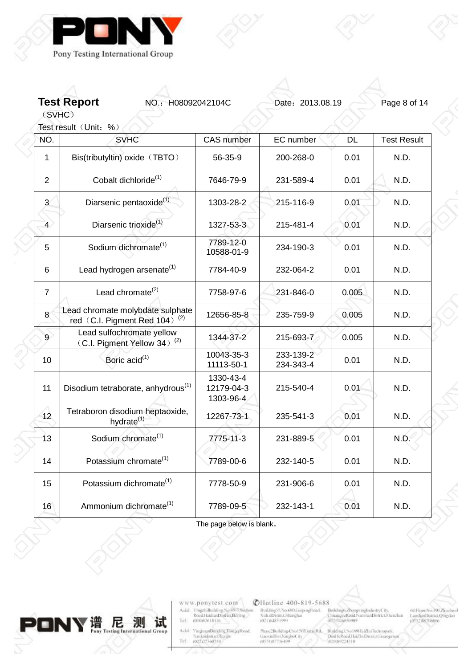

**Test Report NO.: H08092042104C** Date: 2013.08.19 Page 8 of 14

(SVHC) Test result (Unit: %)

Z

 $\begin{array}{c} \diagup \\ \diagdown \end{array}$ 

| NO.            | <b>SVHC</b>                                                                   | <b>CAS</b> number                    | EC number              | <b>DL</b> | <b>Test Result</b> |
|----------------|-------------------------------------------------------------------------------|--------------------------------------|------------------------|-----------|--------------------|
|                |                                                                               |                                      |                        |           |                    |
| 1              | Bis(tributyltin) oxide (TBTO)                                                 | 56-35-9                              | 200-268-0              | 0.01      | N.D.               |
| $\overline{2}$ | Cobalt dichloride <sup>(1)</sup>                                              | 7646-79-9                            | 231-589-4              | 0.01      | N.D.               |
| 3 <sup>2</sup> | Diarsenic pentaoxide <sup>(1)</sup>                                           | 1303-28-2                            | 215-116-9              | 0.01      | N.D.               |
| $\overline{4}$ | Diarsenic trioxide <sup>(1)</sup>                                             | 1327-53-3                            | 215-481-4              | 0.01      | N.D.               |
| 5              | Sodium dichromate <sup>(1)</sup>                                              | 7789-12-0<br>10588-01-9              | 234-190-3              | 0.01      | N.D.               |
| 6              | Lead hydrogen arsenate <sup>(1)</sup>                                         | 7784-40-9                            | 232-064-2              | 0.01      | N.D.               |
| $\overline{7}$ | Lead chromate <sup>(2)</sup>                                                  | 7758-97-6                            | 231-846-0              | 0.005     | N.D.               |
| 8              | Lead chromate molybdate sulphate<br>red (C.I. Pigment Red 104) <sup>(2)</sup> | 12656-85-8                           | 235-759-9              | 0.005     | N.D.               |
| $\overline{9}$ | Lead sulfochromate yellow<br>(C.I. Pigment Yellow 34) <sup>(2)</sup>          | 1344-37-2                            | 215-693-7              | 0.005     | N.D.               |
| 10             | Boric acid <sup>(1)</sup>                                                     | 10043-35-3<br>11113-50-1             | 233-139-2<br>234-343-4 | 0.01      | N.D.               |
| 11             | Disodium tetraborate, anhydrous <sup>(1)</sup>                                | 1330-43-4<br>12179-04-3<br>1303-96-4 | 215-540-4              | 0.01      | N.D.               |
| 12             | Tetraboron disodium heptaoxide,<br>hydrate <sup>(1)</sup>                     | 12267-73-1                           | 235-541-3              | 0.01      | N.D.               |
| 13             | Sodium chromate <sup>(1)</sup>                                                | 7775-11-3                            | 231-889-5              | 0.01      | N.D.               |
| 14             | Potassium chromate <sup>(1)</sup>                                             | 7789-00-6                            | 232-140-5              | 0.01      | N.D.               |
| 15             | Potassium dichromate <sup>(1)</sup>                                           | 7778-50-9                            | 231-906-6              | 0.01      | N.D.               |
| 16             | Ammonium dichromate <sup>(1)</sup>                                            | 7789-09-5                            | 232-143-1              | 0.01      | N.D.               |

The page below is blank。



www.ponytest.com  $\begin{tabular}{l|c} Add:~YingphBokbing Na 49-78004000\\ \hline \textbf{Rood} HaidimDistriu, Beting, \\ Tel: & 010082618116 \\ \end{tabular}$ 

Add<sup>2</sup> YinghuanBinkling.HongqiRoad, Nanknidistrict Turque<br>Tel 002107360730

**@Hotline 400-819-5688** 

Building35.No.680.GrapingBoad.<br>XultaiDismict.Shanghai<br>(021)64851599

Broldings. ZhongxingIndustryCity,<br>ChuangyeRoud/NarshanDistrict/Shenzhin<br>(0755)26050909  $\begin{tabular}{l|c|c|c} {\tt Max2-BolidingA, No150XinkingBd}, & {\tt Balling1, No180HzZlu/Tectmapsak}, \\ {\tt GiaexinDist/NingfocCity}, & {\tt PiniFelkcoilHaZlu/DeBsmctJoswazz} \\ (0574387736499 & (020389224310) \\ \end{tabular}$ 

001Floor:No.190,Zijuzhoul<br>LaoshanDistrict,Qingdao<br>10532,88706866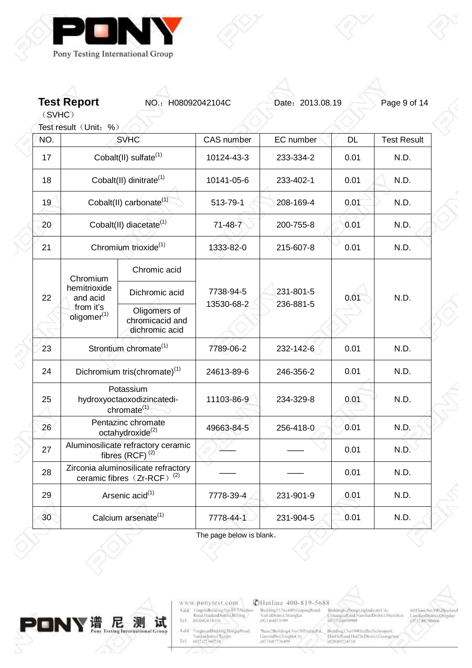

**Test Report NO.: H08092042104C** Date: 2013.08.19 Page 9 of 14

(SVHC)

 $\begin{array}{c} \diagup \\ \diagdown \end{array}$ 

|     | Test result (Unit: %)                |                                                                               |                   |           |           |                    |
|-----|--------------------------------------|-------------------------------------------------------------------------------|-------------------|-----------|-----------|--------------------|
| NÓ. | <b>SVHC</b>                          |                                                                               | <b>CAS</b> number | EC number | <b>DL</b> | <b>Test Result</b> |
| 17  | Cobalt(II) sulfate <sup>(1)</sup>    |                                                                               | 10124-43-3        | 233-334-2 | 0.01      | N.D.               |
| 18  | Cobalt(II) dinitrate <sup>(1)</sup>  |                                                                               | 10141-05-6        | 233-402-1 | 0.01      | N.D.               |
| 19  |                                      | Cobalt(II) carbonate <sup>(1)</sup>                                           | 513-79-1          | 208-169-4 | 0.01      | N.D.               |
| 20  |                                      | Cobalt(II) diacetate <sup>(1)</sup>                                           | $71-48-7$         | 200-755-8 | 0.01      | N.D.               |
| 21  |                                      | Chromium trioxide <sup>(1)</sup>                                              | 1333-82-0         | 215-607-8 | 0.01      | N.D.               |
|     | Chromium                             | Chromic acid                                                                  |                   |           |           |                    |
| 22  | hemitrioxide<br>and acid             | Dichromic acid                                                                | 7738-94-5         | 231-801-5 | 0.01      | N.D.               |
|     | from it's<br>oligomer <sup>(1)</sup> | Oligomers of<br>chromicacid and<br>dichromic acid                             | 13530-68-2        | 236-881-5 |           |                    |
| 23  |                                      | Strontium chromate <sup>(1)</sup>                                             | 7789-06-2         | 232-142-6 | 0.01      | N.D.               |
| 24  |                                      | Dichromium tris(chromate) <sup>(1)</sup>                                      | 24613-89-6        | 246-356-2 | 0.01      | N.D.               |
| 25  |                                      | Potassium<br>hydroxyoctaoxodizincatedi-<br>chromate <sup>(1)</sup>            | 11103-86-9        | 234-329-8 | 0.01      | N.D.               |
| 26  |                                      | Pentazinc chromate<br>octahydroxide <sup>(2)</sup>                            | 49663-84-5        | 256-418-0 | 0.01      | N.D.               |
| 27  |                                      | Aluminosilicate refractory ceramic<br>fibres $(RCF)^{(2)}$                    |                   |           | 0.01      | N.D.               |
| 28  |                                      | Zirconia aluminosilicate refractory<br>ceramic fibres (Zr-RCF) <sup>(2)</sup> |                   |           | 0.01      | N.D.               |
| 29  | Arsenic acid <sup>(1)</sup>          |                                                                               | 7778-39-4         | 231-901-9 | 0.01      | N.D.               |
| 30  | Calcium arsenate <sup>(1)</sup>      |                                                                               | 7778-44-1         | 231-904-5 | 0.01      | N.D.               |

The page below is blank。



www.ponytest.com  $\begin{tabular}{l|c} Add:~YingphBokbing Na 49-78004000\\ \hline \textbf{Rood} HaidimDistriu, Beting, \\ Tel: & 010082618116 \\ \end{tabular}$ 

Add: YinghuanBhilding,HongqiRood<br>| Nanknidistrici Tuzijin<br>|Tel | 002127360730

**@Hotline 400-819-5688** 

Building35.No.680.GrapingBoad.<br>XultaiDismict.Shanghai<br>(021)64851599

 $\begin{tabular}{l|c|c|c} \textbf{Nase/Boilding1,No150X inthinRd.} & \textbf{Bulding1,No180HmZhuTeetmopusab.} \\ \textbf{GaeximDtst,NingboC it} & \textbf{Dimf1stRoullHaZluDtsmctJosargza} \\ \textbf{0.57483736499} & \textbf{0.0089224310} \end{tabular}$ 

Broldings ZhongxingIndustryCity,<br>ChuangyeRoud NarshanDistrict Shenzhin<br>(0755)26050909

021 loor, No. 100, Zijuzhoul<br>LaoshanDistrict, Qingdao<br>10532, 88706866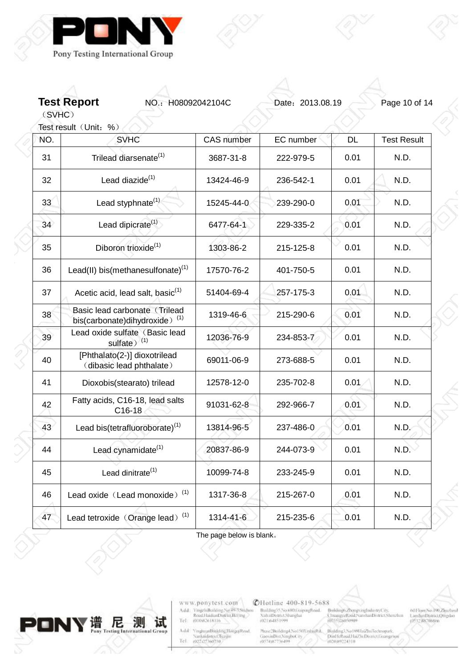

**Test Report NO.: H08092042104C** Date: 2013.08.19 Page 10 of 14

(SVHC)

 $\begin{array}{c} 0 \\ 0 \end{array}$ 

|     | Test result (Unit: %)                                                      |            |           |           |                    |
|-----|----------------------------------------------------------------------------|------------|-----------|-----------|--------------------|
| NÓ. | <b>SVHC</b>                                                                | CAS number | EC number | <b>DL</b> | <b>Test Result</b> |
| 31  | Trilead diarsenate <sup>(1)</sup>                                          | 3687-31-8  | 222-979-5 | 0.01      | N.D.               |
| 32  | Lead diazide <sup>(1)</sup>                                                | 13424-46-9 | 236-542-1 | 0.01      | N.D.               |
| 33  | Lead styphnate $(1)$                                                       | 15245-44-0 | 239-290-0 | 0.01      | N.D.               |
| 34  | Lead dipicrate <sup>(1)</sup>                                              | 6477-64-1  | 229-335-2 | 0.01      | N.D.               |
| 35  | Diboron trioxide <sup>(1)</sup>                                            | 1303-86-2  | 215-125-8 | 0.01      | N.D.               |
| 36  | Lead(II) bis(methanesulfonate) $(1)$                                       | 17570-76-2 | 401-750-5 | 0.01      | N.D.               |
| 37  | Acetic acid, lead salt, basic <sup>(1)</sup>                               | 51404-69-4 | 257-175-3 | 0.01      | N.D.               |
| 38  | Basic lead carbonate (Trilead<br>bis(carbonate)dihydroxide) <sup>(1)</sup> | 1319-46-6  | 215-290-6 | 0.01      | N.D.               |
| 39  | Lead oxide sulfate (Basic lead<br>sulfate) <sup>(1)</sup>                  | 12036-76-9 | 234-853-7 | 0.01      | N.D.               |
| 40  | [Phthalato(2-)] dioxotrilead<br>(dibasic lead phthalate)                   | 69011-06-9 | 273-688-5 | 0.01      | N.D.               |
| 41  | Dioxobis(stearato) trilead                                                 | 12578-12-0 | 235-702-8 | 0.01      | N.D.               |
| 42  | Fatty acids, C16-18, lead salts<br>C16-18                                  | 91031-62-8 | 292-966-7 | 0.01      | N.D.               |
| 43  | Lead bis(tetrafluoroborate) <sup>(1)</sup>                                 | 13814-96-5 | 237-486-0 | 0.01      | N.D.               |
| 44  | Lead cynamidate <sup>(1)</sup>                                             | 20837-86-9 | 244-073-9 | 0.01      | N.D.               |
| 45  | Lead dinitrate <sup>(1)</sup>                                              | 10099-74-8 | 233-245-9 | 0.01      | N.D.               |
| 46  | Lead oxide (Lead monoxide) <sup>(1)</sup>                                  | 1317-36-8  | 215-267-0 | 0.01      | N.D.               |
| 47  | Lead tetroxide (Orange lead) <sup>(1)</sup>                                | 1314-41-6  | 215-235-6 | 0.01      | N.D.               |

The page below is blank。



www.ponytest.com  $\begin{tabular}{l|c} Add:~YingphBokbing Na 49-78004000\\ \hline \textbf{Rood} HaidimDistriu, Beting, \\ Tel: & 010082618116 \\ \end{tabular}$ 

Add<sup>2</sup> YinghuanBinkling.HongqiRoad, Nanknidistrict Turque<br>Tel 002107360730

**@Hotline 400-819-5688** 

Building35.No.680.GrapingBoad.<br>XultaiDismict.Shanghai<br>(021)64851599

 $\begin{tabular}{l|c|c|c} \textbf{Nase/Boilding1,No150X inthinRd.} & \textbf{Bulding1,No180HmZhuTeetmopusab.} \\ \textbf{GaeximDtst,NingboC it} & \textbf{Dimf1stRoullHaZluDtsmctJosargza} \\ \textbf{0.57483736499} & \textbf{0.0089224310} \end{tabular}$ 

Broldings ZhongxingIndustryCity,<br>ChuangyeRoud NarshanDistrict Shenzhin<br>(0755)26050909

001Floor:No.190,Zijuzhoul<br>LaoshanDistrict,Qingdao<br>10532,88706866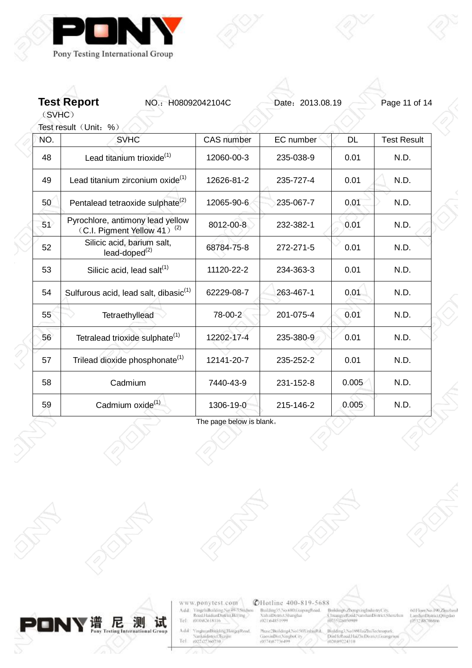



(SVHC) Test result  $(Un$ it: %)

Z

| NÓ. | <b>SVHC</b>                                                                 | <b>CAS</b> number | EC number | <b>DL</b> | <b>Test Result</b> |
|-----|-----------------------------------------------------------------------------|-------------------|-----------|-----------|--------------------|
| 48  | Lead titanium trioxide <sup>(1)</sup>                                       | 12060-00-3        | 235-038-9 | 0.01      | N.D.               |
| 49  | Lead titanium zirconium oxide <sup>(1)</sup>                                | 12626-81-2        | 235-727-4 | 0.01      | N.D.               |
| 50  | Pentalead tetraoxide sulphate <sup>(2)</sup>                                | 12065-90-6        | 235-067-7 | 0.01      | N.D.               |
| 51  | Pyrochlore, antimony lead yellow<br>(C.I. Pigment Yellow 41) <sup>(2)</sup> | 8012-00-8         | 232-382-1 | 0.01      | N.D.               |
| 52  | Silicic acid, barium salt,<br>lead-doped <sup>(2)</sup>                     | 68784-75-8        | 272-271-5 | 0.01      | N.D.               |
| 53  | Silicic acid, lead salt <sup>(1)</sup>                                      | 11120-22-2        | 234-363-3 | 0.01      | N.D.               |
| 54  | Sulfurous acid, lead salt, dibasic <sup>(1)</sup>                           | 62229-08-7        | 263-467-1 | 0.01      | N.D.               |
| 55  | Tetraethyllead                                                              | 78-00-2           | 201-075-4 | 0.01      | N.D.               |
| 56  | Tetralead trioxide sulphate <sup>(1)</sup>                                  | 12202-17-4        | 235-380-9 | 0.01      | N.D.               |
| 57  | Trilead dioxide phosphonate <sup>(1)</sup>                                  | 12141-20-7        | 235-252-2 | 0.01      | N.D.               |
| 58  | Cadmium                                                                     | 7440-43-9         | 231-152-8 | 0.005     | N.D.               |
| 59  | Cadmium oxide <sup>(1)</sup>                                                | 1306-19-0         | 215-146-2 | 0.005     | N.D.               |

The page below is blank。



www.ponytest.com  $\begin{tabular}{l|c} Add:~YingphBokling Na 49-78004000\\ \hline \textbf{Rood} HamiltonDiffint, Berlin & \\ Tel: & 010082618116 \\ \end{tabular}$ 

VinghuanBinkling,HongqiRood,<br>Nanknidistrict,Tuzijin<br>(022-227360730) Add Tel

## **@Hotline 400-819-5688**

Building55.No.680.GrapingBoad.<br>XuhaiDismict.Shanghai<br>(021)64851999

 $\begin{minipage}{.4\linewidth} \begin{minipage}{.4\linewidth} \textbf{Max} & \textbf{N} & \textbf{N} & \textbf{N} \\ \textbf{Gao} & \textbf{M} & \textbf{M} & \textbf{M} \\ \textbf{Gao} & \textbf{M} & \textbf{M} & \textbf{M} \\ \textbf{M} & \textbf{M} & \textbf{M} & \textbf{M} \\ \textbf{M} & \textbf{M} & \textbf{M} & \textbf{M} \\ \textbf{M} & \textbf{M} & \textbf{M} & \textbf{M} \\ \textbf{M} & \textbf{M} & \textbf{M} & \textbf{M$ المسابق No189HaiZhuTechnopark<br>DimHelbouLHaiZhuDismct.George<br>|02089224310

o<br>Buddings ZhongxingIndustryCity,<br>ChuangxeRoud/NatshanDistrict/Shenzhan<br>(0355)210050909

001Floor,No.100,Zijuzhoul<br>LaoshanDistrict,Qingdao<br>(0532,88706866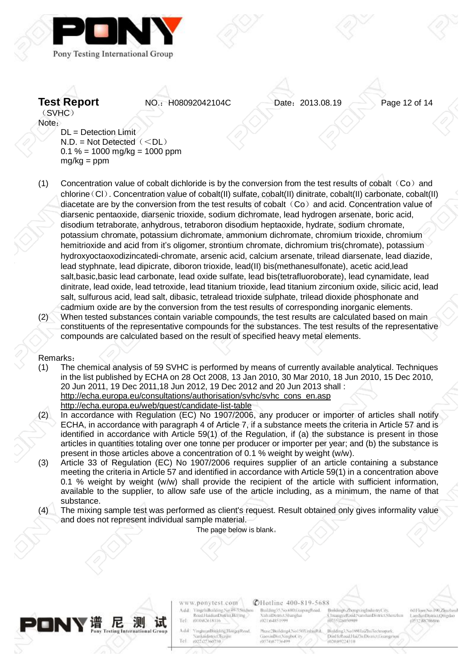



**Test Report NO.: H08092042104C** Date: 2013.08.19 Page 12 of 14

Note: DL = Detection Limit  $N.D. = Not Detection($  $0.1 \% = 1000$  mg/kg = 1000 ppm  $mg/kg = ppm$ 

(1) Concentration value of cobalt dichloride is by the conversion from the test results of cobalt  $(Co)$  and chlorine(Cl). Concentration value of cobalt(II) sulfate, cobalt(II) dinitrate, cobalt(II) carbonate, cobalt(II) diacetate are by the conversion from the test results of cobalt  $(Co)$  and acid. Concentration value of diarsenic pentaoxide, diarsenic trioxide, sodium dichromate, lead hydrogen arsenate, boric acid, disodium tetraborate, anhydrous, tetraboron disodium heptaoxide, hydrate, sodium chromate, potassium chromate, potassium dichromate, ammonium dichromate, chromium trioxide, chromium hemitrioxide and acid from it's oligomer, strontium chromate, dichromium tris(chromate), potassium hydroxyoctaoxodizincatedi-chromate, arsenic acid, calcium arsenate, trilead diarsenate, lead diazide, lead styphnate, lead dipicrate, diboron trioxide, lead(II) bis(methanesulfonate), acetic acid,lead salt,basic,basic lead carbonate, lead oxide sulfate, lead bis(tetrafluoroborate), lead cynamidate, lead dinitrate, lead oxide, lead tetroxide, lead titanium trioxide, lead titanium zirconium oxide, silicic acid, lead salt, sulfurous acid, lead salt, dibasic, tetralead trioxide sulphate, trilead dioxide phosphonate and cadmium oxide are by the conversion from the test results of corresponding inorganic elements. (2) When tested substances contain variable compounds, the test results are calculated based on main

constituents of the representative compounds for the substances. The test results of the representative compounds are calculated based on the result of specified heavy metal elements.

## Remarks:

- (1) The chemical analysis of 59 SVHC is performed by means of currently available analytical. Techniques in the list published by ECHA on 28 Oct 2008, 13 Jan 2010, 30 Mar 2010, 18 Jun 2010, 15 Dec 2010, 20 Jun 2011, 19 Dec 2011,18 Jun 2012, 19 Dec 2012 and 20 Jun 2013 shall : [http://echa.europa.eu/consultations/authorisation/svhc/svhc\\_cons\\_en.asp](http://echa.europa.eu/consultations/authorisation/svhc/svhc_cons_en.asp) <http://echa.europa.eu/web/guest/candidate-list-table>
- (2) In accordance with Regulation (EC) No 1907/2006, any producer or importer of articles shall notify ECHA, in accordance with paragraph 4 of Article 7, if a substance meets the criteria in Article 57 and is identified in accordance with Article 59(1) of the Regulation, if (a) the substance is present in those articles in quantities totaling over one tonne per producer or importer per year; and (b) the substance is present in those articles above a concentration of 0.1 % weight by weight (w/w).
- (3) Article 33 of Regulation (EC) No 1907/2006 requires supplier of an article containing a substance meeting the criteria in Article 57 and identified in accordance with Article 59(1) in a concentration above 0.1 % weight by weight (w/w) shall provide the recipient of the article with sufficient information, available to the supplier, to allow safe use of the article including, as a minimum, the name of that substance.
- (4) The mixing sample test was performed as client's request. Result obtained only gives informality value and does not represent individual sample material.

The page below is blank。



www.ponytest.com migchiBoilding No.49-3.Suguou Add Road HaidianDistrict Belling Tel (010)82618116

Add

Tel

**YinghuanBinkling** Hongq Road thridistrict.Turin (022)27360730

**CHotline 400-819-5688** 

Building35.No.680.GuipingRoad. **CultaiDigrict Shanghai** (021)(4851999

Trase 2Building4, No150XinhiuRd. Bluiding3, No 189HuiZhuTech GaoxinDist,NingboCity DinHeRoad Hai2h Dismet Gos (020)89224310

Turanu

**COSSONIONING** 

veRoad NanshanDistrict She

McFloor.No.190.Zhuzhoul LanshanDistrict/Directic DS32 AN706New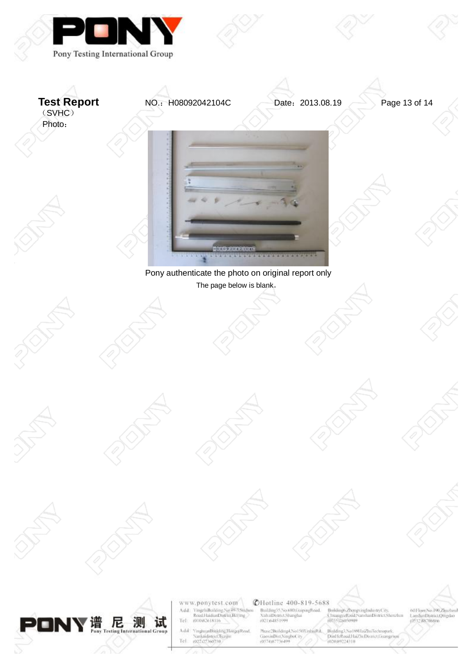